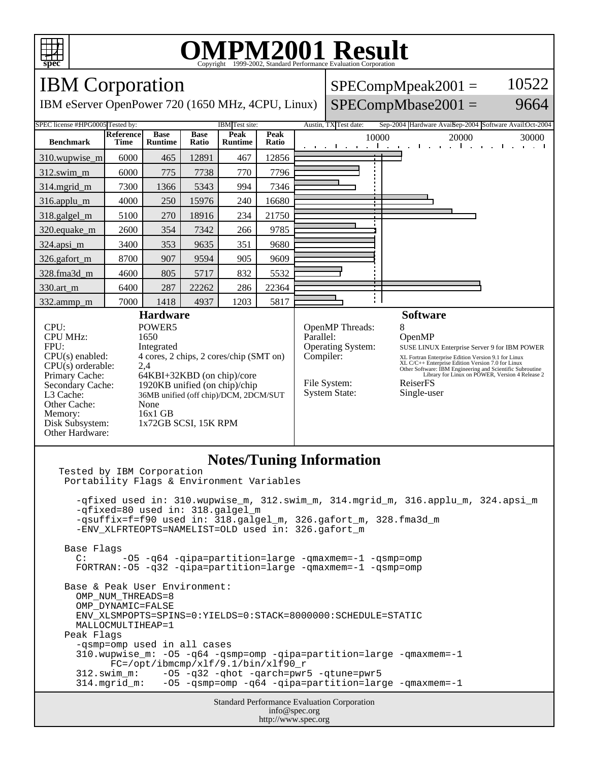

## **OMPM2001 Result** Copyright 1999-2002, Standard Performance Evaluation Corporation

## IBM Corporation  $SPECompMpeak2001 =$ 10522 IBM eServer OpenPower 720 (1650 MHz, 4CPU, Linux)  $SPECompMbase2001 =$ 9664 SPEC license #HPG0005 Tested by: IBM Test site: Austin, TX Test date: Sep-2004 Hardware Avail:Oct-2004 Austin, TX Test date: **Reference Base Base Peak Peak Peak**<br>**Ratio** 10000 20000 30000 **Benchmark Runtime Time Ratio Runtime** 310.wupwise\_m 6000 465 12891 467 12856 312.swim\_m 6000 775 7738 770 7796 314.mgrid\_m | 7300 | 1366 | 5343 | 994 | 7346 316.applu\_m 4000 250 15976 240 16680 318.galgel\_m | 5100 | 270 | 18916 | 234 | 21750 320.equake\_m 2600 354 7342 266 9785 324.apsi\_m | 3400 | 353 | 9635 | 351 | 9680 326.gafort\_m | 8700 907 9594 905 9609 328.fma3d\_m | 4600 | 805 | 5717 | 832 | 5532 330.art\_m 6400 287 22262 286 22364 ÷Ι 332.ammp\_m | 7000 | 1418 | 4937 | 1203 | 5817 **Hardware Software** CPU: POWER5<br>
CPU MHz: 1650 OpenMP Threads: 8<br>Parallel: 6 CPU MHz: OpenMP FPU: Integrated Operating System: SUSE LINUX Enterprise Server 9 for IBM POWER CPU(s) enabled: 4 cores, 2 chips, 2 cores/chip (SMT on) Compiler: XL Fortran Enterprise Edition Version 9.1 for Linux<br>XL C/C++ Enterprise Edition Version 7.0 for Linux<br>Other Software: IBM Engineering and Scientific Subroutine<br>Library for Linux on POWER, Version 4 Release 2 CPU(s) orderable: 2,4<br>Primary Cache: 64F Primary Cache: 64KBI+32KBD (on chip)/core<br>Secondary Cache: 1920KB unified (on chip)/chip File System: ReiserFS 1920KB unified (on chip)/chip System State: Single-user L3 Cache: 36MB unified (off chip)/DCM, 2DCM/SUT Other Cache: None Memory: 16x1 GB<br>Disk Subsystem: 1x72GB 1x72GB SCSI, 15K RPM Other Hardware: **Notes/Tuning Information** Tested by IBM Corporation Portability Flags & Environment Variables -qfixed used in: 310.wupwise\_m, 312.swim\_m, 314.mgrid\_m, 316.applu\_m, 324.apsi\_m -qfixed=80 used in: 318.galgel\_m -qsuffix=f=f90 used in: 318.galgel\_m, 326.gafort\_m, 328.fma3d\_m -ENV\_XLFRTEOPTS=NAMELIST=OLD used in: 326.gafort\_m Base Flags C: -O5 -q64 -qipa=partition=large -qmaxmem=-1 -qsmp=omp FORTRAN:-O5 -q32 -qipa=partition=large -qmaxmem=-1 -qsmp=omp Base & Peak User Environment: OMP\_NUM\_THREADS=8 OMP\_DYNAMIC=FALSE ENV\_XLSMPOPTS=SPINS=0:YIELDS=0:STACK=8000000:SCHEDULE=STATIC

 MALLOCMULTIHEAP=1 Peak Flags -qsmp=omp used in all cases 310.wupwise\_m: -O5 -q64 -qsmp=omp -qipa=partition=large -qmaxmem=-1 FC=/opt/ibmcmp/xlf/9.1/bin/xlf90\_r 312.swim\_m: -O5 -q32 -qhot -qarch=pwr5 -qtune=pwr5 -05 -qsmp=omp -q64 -qipa=partition=large -qmaxmem=-1

> Standard Performance Evaluation Corporation info@spec.org http://www.spec.org